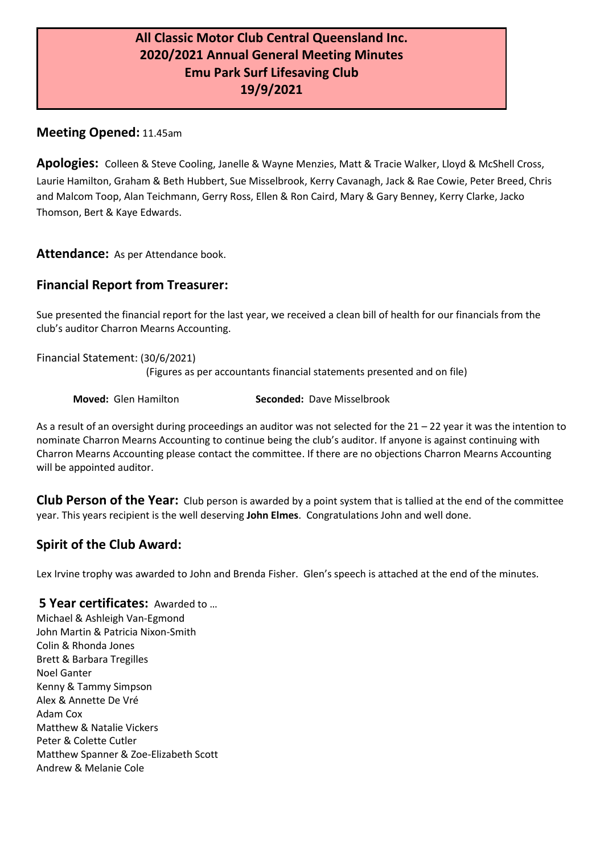# **All Classic Motor Club Central Queensland Inc. 2020/2021 Annual General Meeting Minutes Emu Park Surf Lifesaving Club 19/9/2021**

## **Meeting Opened:** 11.45am

**Apologies:** Colleen & Steve Cooling, Janelle & Wayne Menzies, Matt & Tracie Walker, Lloyd & McShell Cross, Laurie Hamilton, Graham & Beth Hubbert, Sue Misselbrook, Kerry Cavanagh, Jack & Rae Cowie, Peter Breed, Chris and Malcom Toop, Alan Teichmann, Gerry Ross, Ellen & Ron Caird, Mary & Gary Benney, Kerry Clarke, Jacko Thomson, Bert & Kaye Edwards.

**Attendance:** As per Attendance book.

## **Financial Report from Treasurer:**

Sue presented the financial report for the last year, we received a clean bill of health for our financials from the club's auditor Charron Mearns Accounting.

Financial Statement: (30/6/2021)

(Figures as per accountants financial statements presented and on file)

**Moved:** Glen Hamilton **Seconded:** Dave Misselbrook

As a result of an oversight during proceedings an auditor was not selected for the 21 – 22 year it was the intention to nominate Charron Mearns Accounting to continue being the club's auditor. If anyone is against continuing with Charron Mearns Accounting please contact the committee. If there are no objections Charron Mearns Accounting will be appointed auditor.

**Club Person of the Year:** Club person is awarded by a point system that is tallied at the end of the committee year. This years recipient is the well deserving **John Elmes**. Congratulations John and well done.

## **Spirit of the Club Award:**

Lex Irvine trophy was awarded to John and Brenda Fisher. Glen's speech is attached at the end of the minutes.

**5 Year certificates:** Awarded to … Michael & Ashleigh Van-Egmond John Martin & Patricia Nixon-Smith Colin & Rhonda Jones Brett & Barbara Tregilles Noel Ganter Kenny & Tammy Simpson Alex & Annette De Vré Adam Cox Matthew & Natalie Vickers Peter & Colette Cutler Matthew Spanner & Zoe-Elizabeth Scott Andrew & Melanie Cole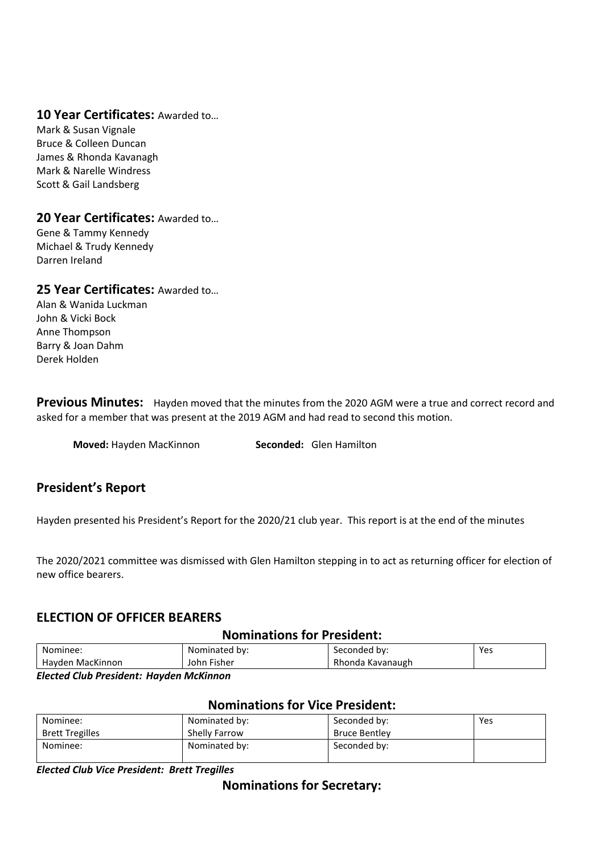### **10 Year Certificates:** Awarded to…

Mark & Susan Vignale Bruce & Colleen Duncan James & Rhonda Kavanagh Mark & Narelle Windress Scott & Gail Landsberg

**20 Year Certificates:** Awarded to… Gene & Tammy Kennedy Michael & Trudy Kennedy Darren Ireland

**25 Year Certificates:** Awarded to… Alan & Wanida Luckman John & Vicki Bock Anne Thompson Barry & Joan Dahm Derek Holden

**Previous Minutes:** Hayden moved that the minutes from the 2020 AGM were a true and correct record and asked for a member that was present at the 2019 AGM and had read to second this motion.

**Moved:** Hayden MacKinnon **Seconded:** Glen Hamilton

## **President's Report**

Hayden presented his President's Report for the 2020/21 club year. This report is at the end of the minutes

The 2020/2021 committee was dismissed with Glen Hamilton stepping in to act as returning officer for election of new office bearers.

### **ELECTION OF OFFICER BEARERS**

#### **Nominations for President:**

| Nominee:         | Nominated by:    | Seconded by:     | Yes |
|------------------|------------------|------------------|-----|
| Havden MacKinnon | Fisher<br>John F | Rhonda Kavanaugh |     |

#### *Elected Club President: Hayden McKinnon*

### **Nominations for Vice President:**

| Nominee:               | Nominated by:        | Seconded by:         | Yes |
|------------------------|----------------------|----------------------|-----|
| <b>Brett Tregilles</b> | <b>Shelly Farrow</b> | <b>Bruce Bentley</b> |     |
| Nominee:               | Nominated by:        | Seconded by:         |     |

*Elected Club Vice President: Brett Tregilles*

## **Nominations for Secretary:**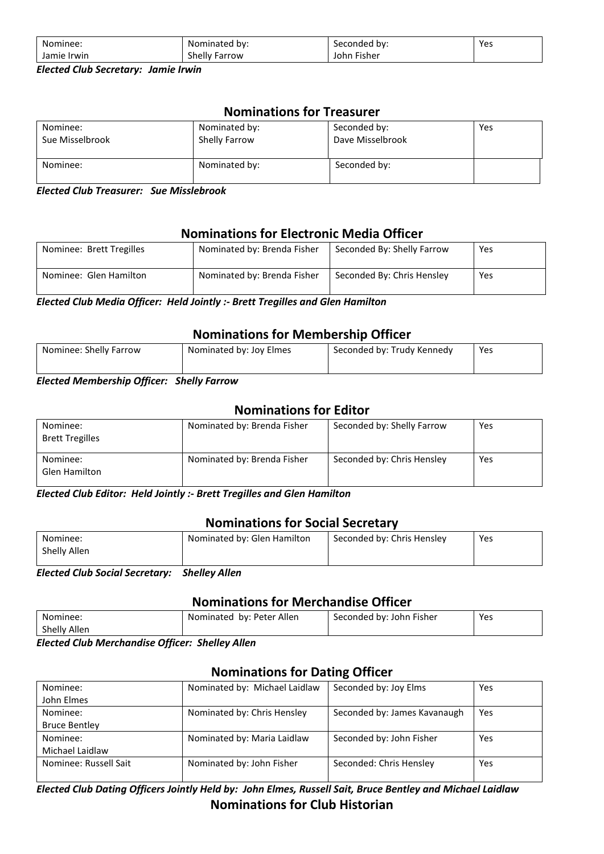| Nominee:    | Nominated by:        | Seconded by: | Yes |
|-------------|----------------------|--------------|-----|
| Jamie Irwin | <b>Shelly Farrow</b> | John Fisher  |     |

*Elected Club Secretary: Jamie Irwin*

## **Nominations for Treasurer**

| Nominee:        | Nominated by:        | Seconded by:     | Yes |
|-----------------|----------------------|------------------|-----|
| Sue Misselbrook | <b>Shelly Farrow</b> | Dave Misselbrook |     |
| Nominee:        | Nominated by:        | Seconded by:     |     |

*Elected Club Treasurer: Sue Misslebrook*

## **Nominations for Electronic Media Officer**

| Nominee: Brett Tregilles | Nominated by: Brenda Fisher | Seconded By: Shelly Farrow | Yes |
|--------------------------|-----------------------------|----------------------------|-----|
| Nominee: Glen Hamilton   | Nominated by: Brenda Fisher | Seconded By: Chris Hensley | Yes |

*Elected Club Media Officer: Held Jointly :- Brett Tregilles and Glen Hamilton*

### **Nominations for Membership Officer**

| Nominee: Shelly Farrow | Nominated by: Joy Elmes | Seconded by: Trudy Kennedy | Yes |
|------------------------|-------------------------|----------------------------|-----|
|                        |                         |                            |     |

#### *Elected Membership Officer: Shelly Farrow*

### **Nominations for Editor**

| Nominee:<br><b>Brett Tregilles</b> | Nominated by: Brenda Fisher | Seconded by: Shelly Farrow | Yes |
|------------------------------------|-----------------------------|----------------------------|-----|
| Nominee:<br><b>Glen Hamilton</b>   | Nominated by: Brenda Fisher | Seconded by: Chris Hensley | Yes |

*Elected Club Editor: Held Jointly :- Brett Tregilles and Glen Hamilton*

## **Nominations for Social Secretary**

| Nominee:     | Nominated by: Glen Hamilton | Seconded by: Chris Hensley | Yes |
|--------------|-----------------------------|----------------------------|-----|
| Shelly Allen |                             |                            |     |
|              |                             |                            |     |

*Elected Club Social Secretary: Shelley Allen*

### **Nominations for Merchandise Officer**

| Nominee:     | Nominated by: Peter Allen | Seconded by: John Fisher | Yes |
|--------------|---------------------------|--------------------------|-----|
| Shelly Allen |                           |                          |     |
| $ -$<br>     | $\sim$ $\sim$<br>.        |                          |     |

*Elected Club Merchandise Officer: Shelley Allen*

### **Nominations for Dating Officer**

| Nominee:               | Nominated by: Michael Laidlaw | Seconded by: Joy Elms        | Yes |
|------------------------|-------------------------------|------------------------------|-----|
| John Elmes             |                               |                              |     |
| Nominee:               | Nominated by: Chris Hensley   | Seconded by: James Kavanaugh | Yes |
| <b>Bruce Bentley</b>   |                               |                              |     |
| Nominee:               | Nominated by: Maria Laidlaw   | Seconded by: John Fisher     | Yes |
| <b>Michael Laidlaw</b> |                               |                              |     |
| Nominee: Russell Sait  | Nominated by: John Fisher     | Seconded: Chris Hensley      | Yes |
|                        |                               |                              |     |

*Elected Club Dating Officers Jointly Held by: John Elmes, Russell Sait, Bruce Bentley and Michael Laidlaw* **Nominations for Club Historian**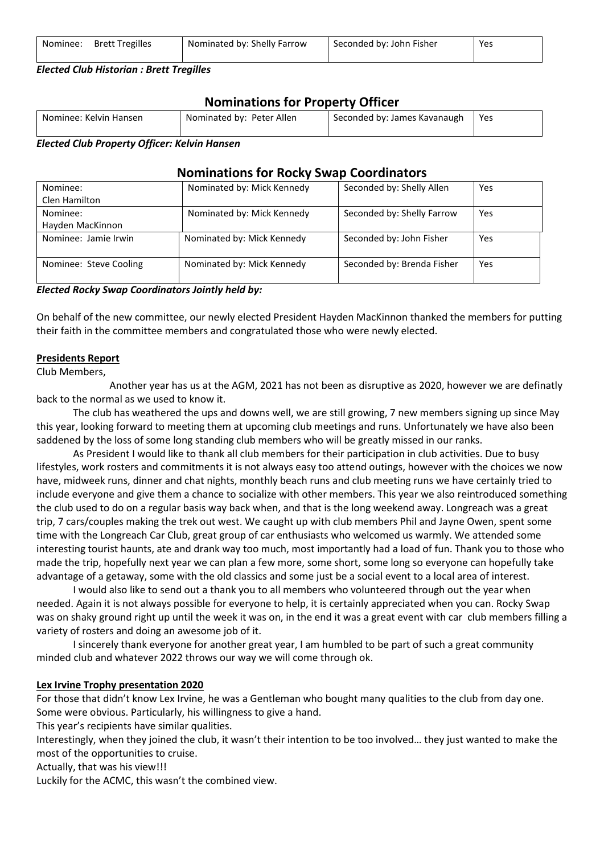| Nominee: | <b>Brett Tregilles</b> | Nominated by: Shelly Farrow | Seconded by: John Fisher | Yes |
|----------|------------------------|-----------------------------|--------------------------|-----|
|          |                        |                             |                          |     |

*Elected Club Historian : Brett Tregilles*

# **Nominations for Property Officer**

| Nominated by: Peter Allen<br>Nominee: Kelvin Hansen<br>Yes<br>Seconded by: James Kavanaugh |  |  |
|--------------------------------------------------------------------------------------------|--|--|

*Elected Club Property Officer: Kelvin Hansen*

### **Nominations for Rocky Swap Coordinators**

| Nominee:               | Nominated by: Mick Kennedy | Seconded by: Shelly Allen  | Yes |
|------------------------|----------------------------|----------------------------|-----|
| Clen Hamilton          |                            |                            |     |
| Nominee:               | Nominated by: Mick Kennedy | Seconded by: Shelly Farrow | Yes |
| Hayden MacKinnon       |                            |                            |     |
| Nominee: Jamie Irwin   | Nominated by: Mick Kennedy | Seconded by: John Fisher   | Yes |
|                        |                            |                            |     |
| Nominee: Steve Cooling | Nominated by: Mick Kennedy | Seconded by: Brenda Fisher | Yes |
|                        |                            |                            |     |

#### *Elected Rocky Swap Coordinators Jointly held by:*

On behalf of the new committee, our newly elected President Hayden MacKinnon thanked the members for putting their faith in the committee members and congratulated those who were newly elected.

### **Presidents Report**

#### Club Members,

Another year has us at the AGM, 2021 has not been as disruptive as 2020, however we are definatly back to the normal as we used to know it.

The club has weathered the ups and downs well, we are still growing, 7 new members signing up since May this year, looking forward to meeting them at upcoming club meetings and runs. Unfortunately we have also been saddened by the loss of some long standing club members who will be greatly missed in our ranks.

As President I would like to thank all club members for their participation in club activities. Due to busy lifestyles, work rosters and commitments it is not always easy too attend outings, however with the choices we now have, midweek runs, dinner and chat nights, monthly beach runs and club meeting runs we have certainly tried to include everyone and give them a chance to socialize with other members. This year we also reintroduced something the club used to do on a regular basis way back when, and that is the long weekend away. Longreach was a great trip, 7 cars/couples making the trek out west. We caught up with club members Phil and Jayne Owen, spent some time with the Longreach Car Club, great group of car enthusiasts who welcomed us warmly. We attended some interesting tourist haunts, ate and drank way too much, most importantly had a load of fun. Thank you to those who made the trip, hopefully next year we can plan a few more, some short, some long so everyone can hopefully take advantage of a getaway, some with the old classics and some just be a social event to a local area of interest.

I would also like to send out a thank you to all members who volunteered through out the year when needed. Again it is not always possible for everyone to help, it is certainly appreciated when you can. Rocky Swap was on shaky ground right up until the week it was on, in the end it was a great event with car club members filling a variety of rosters and doing an awesome job of it.

I sincerely thank everyone for another great year, I am humbled to be part of such a great community minded club and whatever 2022 throws our way we will come through ok.

### **Lex Irvine Trophy presentation 2020**

For those that didn't know Lex Irvine, he was a Gentleman who bought many qualities to the club from day one. Some were obvious. Particularly, his willingness to give a hand.

This year's recipients have similar qualities.

Interestingly, when they joined the club, it wasn't their intention to be too involved… they just wanted to make the most of the opportunities to cruise.

Actually, that was his view!!!

Luckily for the ACMC, this wasn't the combined view.